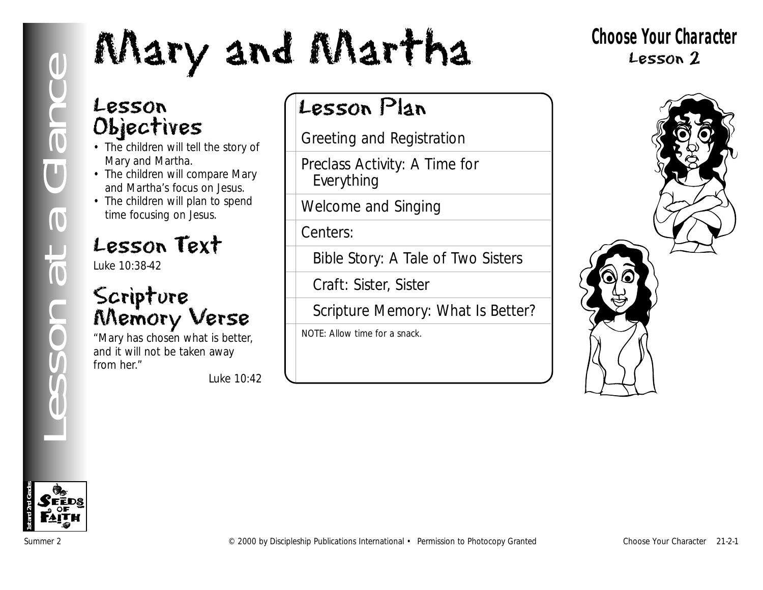# **Example 1998**<br>
Lesson and Martha The story of Greeting and Registration<br>
The children will tell the story of Greeting and Registration<br>
The children will plan to spend<br>
Lesson Text<br>
Lesson Text<br>
Lesson Text<br>
Scripture<br>
Sc

#### **Choose Your Character** Lesson 2

## Lesson Objectives

- The children will tell the story of Mary and Martha.
- The children will compare Mary and Martha's focus on Jesus.
- The children will plan to spend time focusing on Jesus.

## Lesson Text

Luke 10:38-42

## Scripture Memory Verse

"Mary has chosen what is better, and it will not be taken away from her."

*Luke 10:42*

## Lesson Plan

Greeting and Registration

Preclass Activity: A Time for Everything

Welcome and Singing

Centers:

Bible Story: A Tale of Two Sisters

Craft: Sister, Sister

Scripture Memory: What Is Better?

NOTE: Allow time for a snack.



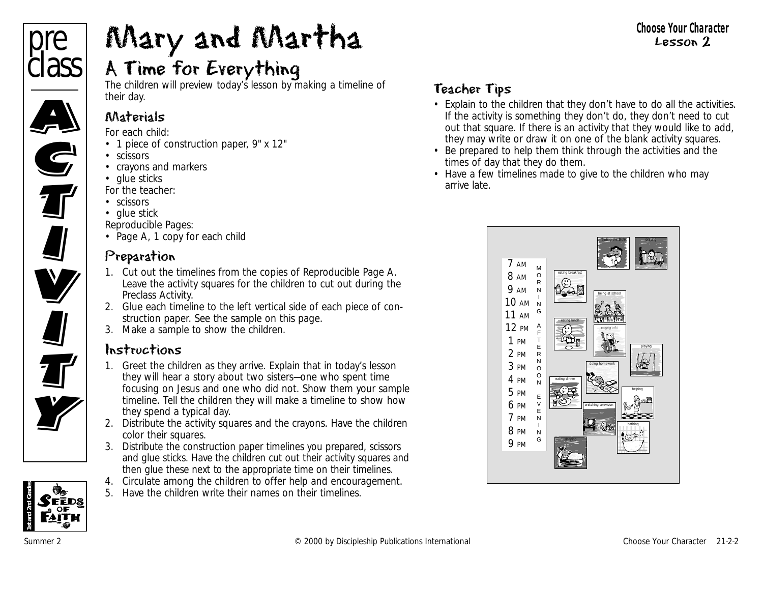

**G**<br>T

**II**<br><u>II</u>

U<br>V

**V**<br>I

**All** 

**TV** 

# Mary and Martha

## A Time for Everything

The children will preview today's lesson by making a timeline of their day.

#### Materials

*For each child:*

- 1 piece of construction paper, 9" x 12"
- scissors
- crayons and markers
- glue sticks

*For the teacher:*

- scissors
- glue stick

*Reproducible Pages:*

• Page A, 1 copy for each child

#### Preparation

- 1. Cut out the timelines from the copies of Reproducible Page A. Leave the activity squares for the children to cut out during the Preclass Activity.
- 2. Glue each timeline to the left vertical side of each piece of construction paper. See the sample on this page.
- 3. Make a sample to show the children.

#### Instructions

- 1. Greet the children as they arrive. Explain that in today's lesson they will hear a story about two sisters—one who spent time focusing on Jesus and one who did not. Show them your sample timeline. Tell the children they will make a timeline to show how they spend a typical day.
- 2. Distribute the activity squares and the crayons. Have the children color their squares.
- 3. Distribute the construction paper timelines you prepared, scissors and glue sticks. Have the children cut out their activity squares and then glue these next to the appropriate time on their timelines.
- 4. Circulate among the children to offer help and encouragement.
- 5. Have the children write their names on their timelines.

#### Teacher Tips

- Explain to the children that they don't have to do all the activities. If the activity is something they don't do, they don't need to cut out that square. If there is an activity that they would like to add, they may write or draw it on one of the blank activity squares.
- Be prepared to help them think through the activities and the times of day that they do them.
- Have a few timelines made to give to the children who may arrive late.





**Choose Your Character** Lesson 2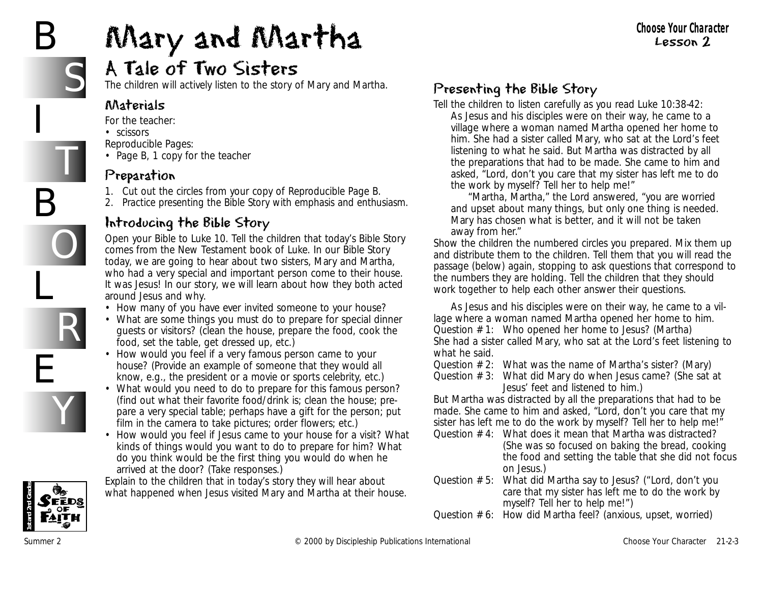# B

I

B

L

E

S

T

O

R

Y

# Mary and Martha

## A Tale of Two Sisters

The children will actively listen to the story of Mary and Martha.

#### Materials

- *For the teacher:*
- scissors
- *Reproducible Pages:*
- Page B, 1 copy for the teacher

#### Preparation

- 1. Cut out the circles from your copy of Reproducible Page B.
- 2. Practice presenting the Bible Story with emphasis and enthusiasm.

#### Introducing the Bible Story

Open your Bible to Luke 10. Tell the children that today's Bible Story comes from the New Testament book of Luke. *In our Bible Story today, we are going to hear about two sisters, Mary and Martha, who had a very special and important person come to their house. It was Jesus! In our story, we will learn about how they both acted around Jesus and why.* 

- *How many of you have ever invited someone to your house?*
- *What are some things you must do to prepare for special dinner guests or visitors?* (clean the house, prepare the food, cook the food, set the table, get dressed up, etc.)
- *How would you feel if a very famous person came to your house?* (Provide an example of someone that they would all know, e.g., the president or a movie or sports celebrity, etc.)
- *What would you need to do to prepare for this famous person?* (find out what their favorite food/drink is; clean the house; prepare a very special table; perhaps have a gift for the person; put film in the camera to take pictures; order flowers; etc.)
- *How would you feel if Jesus came to your house for a visit? What kinds of things would you want to do to prepare for him? What do you think would be the first thing you would do when he arrived at the door?* (Take responses.)

Explain to the children that in today's story they will hear about what happened when Jesus visited Mary and Martha at their house.

#### Presenting the Bible Story

Tell the children to listen carefully as you read Luke 10:38-42:

*As Jesus and his disciples were on their way, he came to a village where a woman named Martha opened her home to him. She had a sister called Mary, who sat at the Lord's feet listening to what he said. But Martha was distracted by all the preparations that had to be made. She came to him and asked, "Lord, don't you care that my sister has left me to do the work by myself? Tell her to help me!"* 

*"Martha, Martha," the Lord answered, "you are worried and upset about many things, but only one thing is needed. Mary has chosen what is better, and it will not be taken away from her."* 

Show the children the numbered circles you prepared. Mix them up and distribute them to the children. Tell them that you will read the passage (below) again, stopping to ask questions that correspond to the numbers they are holding. Tell the children that they should work together to help each other answer their questions.

*As Jesus and his disciples were on their way, he came to a village where a woman named Martha opened her home to him. Question # 1*: *Who opened her home to Jesus?* (Martha) *She had a sister called Mary, who sat at the Lord's feet listening to what he said.* 

*Question # 2*: *What was the name of Martha's sister?* (Mary)

*Question # 3*: *What did Mary do when Jesus came?* (She sat at Jesus' feet and listened to him.)

*But Martha was distracted by all the preparations that had to be made. She came to him and asked, "Lord, don't you care that my sister has left me to do the work by myself? Tell her to help me!"* 

- *Question # 4*: *What does it mean that Martha was distracted?* (She was so focused on baking the bread, cooking the food and setting the table that she did not focus on Jesus.)
- *Question # 5*: *What did Martha say to Jesus?* ("Lord, don't you care that my sister has left me to do the work by myself? Tell her to help me!")
- *Question # 6*: *How did Martha feel?* (anxious, upset, worried)



EEDS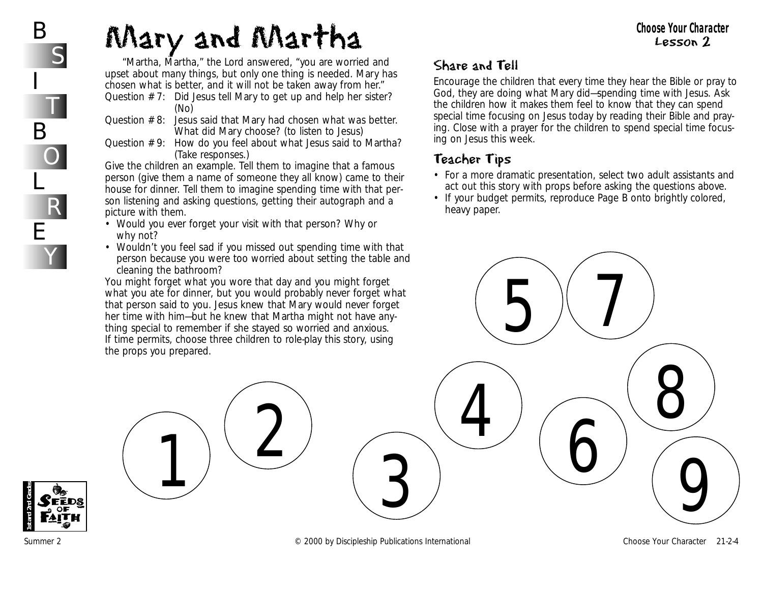# Mary and Martha

*"Martha, Martha," the Lord answered, "you are worried and upset about many things, but only one thing is needed. Mary has chosen what is better, and it will not be taken away from her." Question # 7*: *Did Jesus tell Mary to get up and help her sister?*

- (No)
- *Question # 8*: *Jesus said that Mary had chosen what was better. What did Mary choose?* (to listen to Jesus)
- *Question # 9*: *How do you feel about what Jesus said to Martha?* (Take responses.)

Give the children an example. Tell them to imagine that a famous person (give them a name of someone they all know) came to their house for dinner. Tell them to imagine spending time with that person listening and asking questions, getting their autograph and a picture with them.

- *Would you ever forget your visit with that person? Why or why not?*
- *Wouldn't you feel sad if you missed out spending time with that person because you were too worried about setting the table and cleaning the bathroom?*

*You might forget what you wore that day and you might forget what you ate for dinner, but you would probably never forget what that person said to you. Jesus knew that Mary would never forget her time with him—but he knew that Martha might not have anything special to remember if she stayed so worried and anxious.*  If time permits, choose three children to role-play this story, using the props you prepared.

 $1)$ <sup>(2)</sup> 3

#### Share and Tell

Encourage the children that every time they hear the Bible or pray to God, they are doing what Mary did—spending time with Jesus. Ask the children how it makes them feel to know that they can spend special time focusing on Jesus today by reading their Bible and praying. Close with a prayer for the children to spend special time focusing on Jesus this week.

#### Teacher Tips

4

 $\overline{Q}$ 

• For a more dramatic presentation, select two adult assistants and act out this story with props before asking the questions above.

 $\int$ 

• If your budget permits, reproduce Page B onto brightly colored, heavy paper.

6



9

8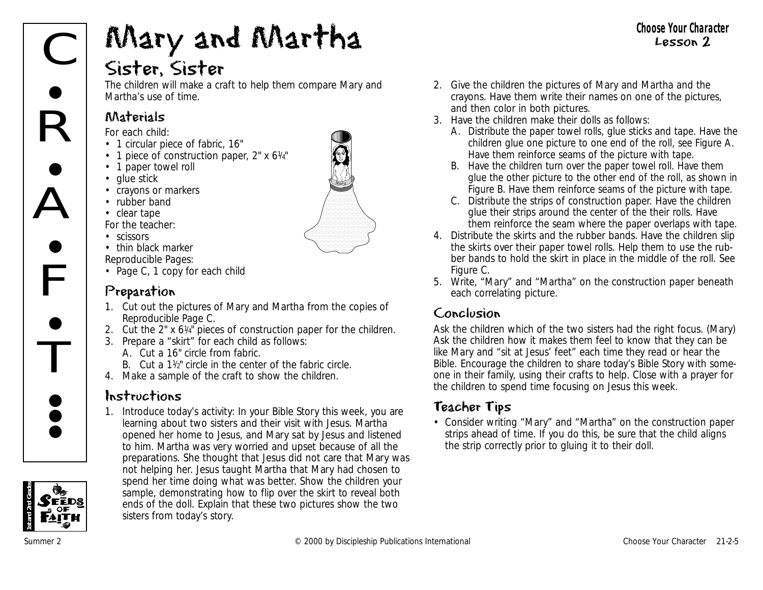

## Mary and Martha

## Sister, Sister

The children will make a craft to help them compare Mary and Martha's use of time.

#### Materials

*For each child:*

- 1 circular piece of fabric, 16"
- 1 piece of construction paper,  $2" \times 6\frac{1}{4"}$
- 1 paper towel roll
- glue stick
- crayons or markers
- rubber band
- clear tape
- *For the teacher:*
- scissors
- thin black marker *Reproducible Pages:*
- Page C, 1 copy for each child

#### Preparation

- 1. Cut out the pictures of Mary and Martha from the copies of Reproducible Page C.
- 2. Cut the  $2$ " x  $6\frac{1}{4}$ " pieces of construction paper for the children.
- 3. Prepare a "skirt" for each child as follows:
	- A. Cut a 16" circle from fabric.
	- B. Cut a  $1\frac{1}{2}$  circle in the center of the fabric circle.
- 4. Make a sample of the craft to show the children.

#### Instructions

1. Introduce today's activity: *In your Bible Story this week, you are learning about two sisters and their visit with Jesus. Martha opened her home to Jesus, and Mary sat by Jesus and listened to him. Martha was very worried and upset because of all the preparations. She thought that Jesus did not care that Mary was not helping her. Jesus taught Martha that Mary had chosen to spend her time doing what was better.* Show the children your sample, demonstrating how to flip over the skirt to reveal both ends of the doll. Explain that these two pictures show the two sisters from today's story.

- 2. Give the children the pictures of Mary and Martha and the crayons. Have them write their names on one of the pictures, and then color in both pictures.
- 3. Have the children make their dolls as follows:
	- A. Distribute the paper towel rolls, glue sticks and tape. Have the children glue one picture to one end of the roll, see Figure A. Have them reinforce seams of the picture with tape.
	- B. Have the children turn over the paper towel roll. Have them glue the other picture to the other end of the roll, as shown in Figure B. Have them reinforce seams of the picture with tape.
	- C. Distribute the strips of construction paper. Have the children glue their strips around the center of the their rolls. Have them reinforce the seam where the paper overlaps with tape.
- 4. Distribute the skirts and the rubber bands. Have the children slip the skirts over their paper towel rolls. Help them to use the rubber bands to hold the skirt in place in the middle of the roll. See Figure C.
- 5. Write, "Mary" and "Martha" on the construction paper beneath each correlating picture.

#### Conclusion

Ask the children which of the two sisters had the right focus. (Mary) Ask the children how it makes them feel to know that they can be like Mary and "sit at Jesus' feet" each time they read or hear the Bible. Encourage the children to share today's Bible Story with someone in their family, using their crafts to help. Close with a prayer for the children to spend time focusing on Jesus this week.

#### Teacher Tips

• Consider writing "Mary" and "Martha" on the construction paper strips ahead of time. If you do this, be sure that the child aligns the strip correctly prior to gluing it to their doll.





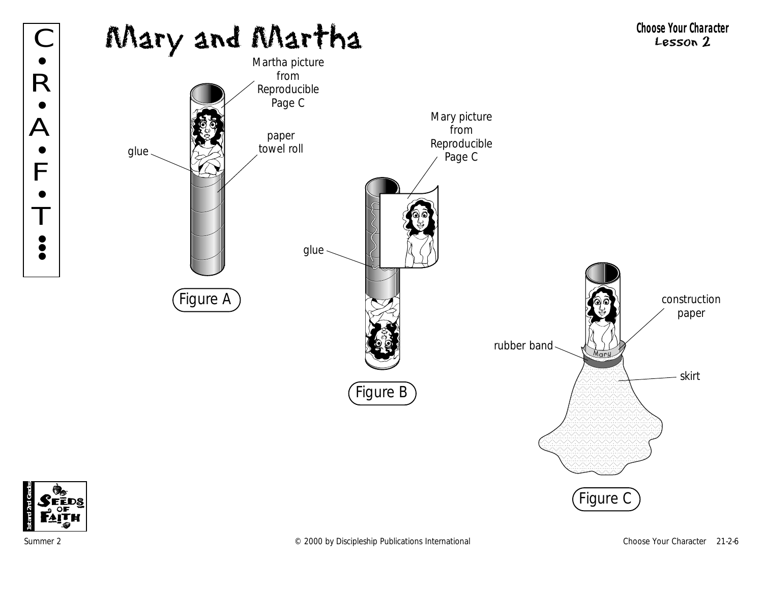

Summer 2 Choose Your Character 21-2-6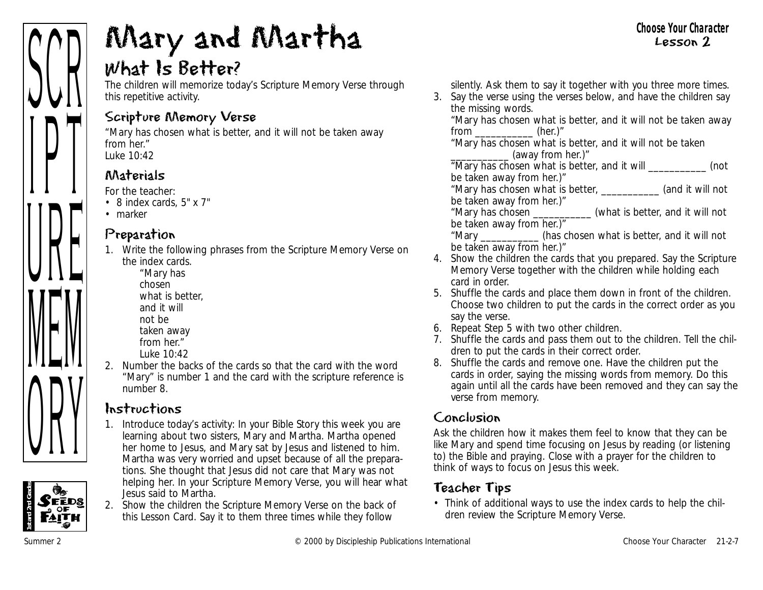

# Mary and Martha

## What Is Better?

The children will memorize today's Scripture Memory Verse through this repetitive activity.

#### Scripture Memory Verse

"Mary has chosen what is better, and it will not be taken away from her." *Luke 10:42*

#### Materials

*For the teacher:*

- 8 index cards, 5" x 7"
- marker

#### Preparation

1. Write the following phrases from the Scripture Memory Verse on the index cards.

"Mary has chosen what is better, and it will not be taken away

- from her."
- Luke 10:42
- 2. Number the backs of the cards so that the card with the word "Mary" is number 1 and the card with the scripture reference is number 8.

#### Instructions

- 1. Introduce today's activity: *In your Bible Story this week you are learning about two sisters, Mary and Martha. Martha opened her home to Jesus, and Mary sat by Jesus and listened to him. Martha was very worried and upset because of all the preparations. She thought that Jesus did not care that Mary was not helping her. In your Scripture Memory Verse, you will hear what Jesus said to Martha.*
- 2. Show the children the Scripture Memory Verse on the back of this Lesson Card. Say it to them three times while they follow
- silently. Ask them to say it together with you three more times.
- 3. Say the verse using the verses below, and have the children say the missing words.

*"Mary has chosen what is better, and it will not be taken away from* (her.)"

*"Mary has chosen what is better, and it will not be taken* (away from her.)"

*"Mary has chosen what is better, and it will \_\_\_\_\_\_\_\_\_\_\_* (not be taken away from her.)"

*"Mary has chosen what is better,* \_\_\_\_\_\_\_\_\_\_\_ (and it will not be taken away from her.)"

*"Mary has chosen* \_\_\_\_\_\_\_\_\_\_\_ (what is better, and it will not be taken away from her.)"

*"Mary* \_\_\_\_\_\_\_\_\_\_\_ (has chosen what is better, and it will not be taken away from her.)"

- 4. Show the children the cards that you prepared. Say the Scripture Memory Verse together with the children while holding each card in order.
- 5. Shuffle the cards and place them down in front of the children. Choose two children to put the cards in the correct order as you say the verse.
- 6. Repeat Step 5 with two other children.
- 7. Shuffle the cards and pass them out to the children. Tell the children to put the cards in their correct order.
- 8. Shuffle the cards and remove one. Have the children put the cards in order, saying the missing words from memory. Do this again until all the cards have been removed and they can say the verse from memory.

#### Conclusion

Ask the children how it makes them feel to know that they can be like Mary and spend time focusing on Jesus by reading (or listening to) the Bible and praying. Close with a prayer for the children to think of ways to focus on Jesus this week.

#### Teacher Tips

• Think of additional ways to use the index cards to help the children review the Scripture Memory Verse.

EĒDS

**1st and 2nd Grades**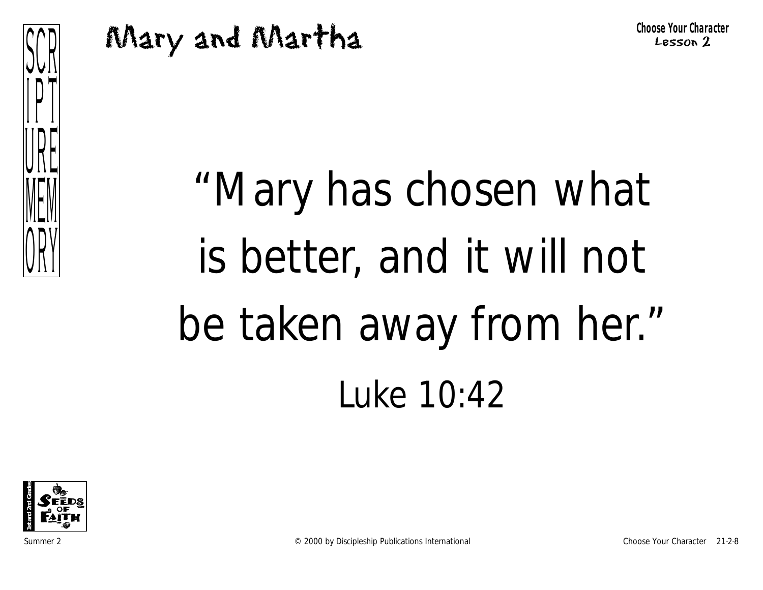

# "Mary has chosen what is better, and it will not be taken away from her." Luke 10:42



Summer 2 © 2000 by Discipleship Publications International Choose Your Character 21-2-8

ANI

 $\prod$ 

VIIL

MEM

VIII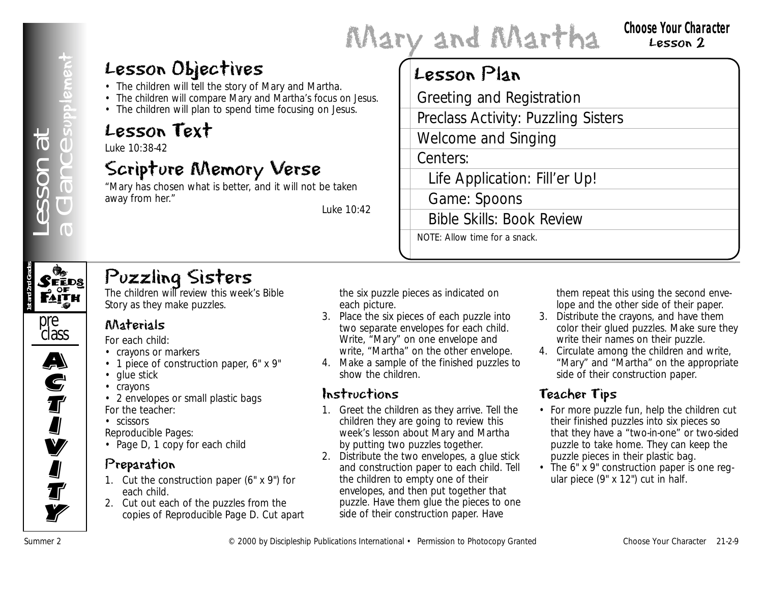#### Mary and Martha **Choose Your Character** Lesson 2

## Lesson Objectives

- The children will tell the story of Mary and Martha.
- The children will compare Mary and Martha's focus on Jesus.
- The children will plan to spend time focusing on Jesus.

## Lesson Text

## Scripture Memory Verse

| $\overline{\mathbf{C}}$<br>$\overline{\textbf{S}}$<br><b>V</b>     | Lesson Objectives<br>• The children will tell the story of Mary and Martha.<br>• The children will compare Mary and Martha's focus on Jesus.<br>• The children will plan to spend time focusing on Jesus.<br>Lesson Text<br>Luke 10:38-42<br>Scripture Memory Verse<br>"Mary has chosen what is better, and it will not be taken<br>away from her."                                                                                                                                                                                   | Luke 10:42                                                | Lesson Plan<br>Greeting and Registration<br>Preclass Activity: Puzzling Sisters<br>Welcome and Singing<br>Centers:<br>Life Application: Fill'er Up!<br>Game: Spoons<br><b>Bible Skills: Book Review</b><br>NOTE: Allow time for a snack.                                                                                                                                                                                                                                                                                                                                                                                                                                                             |                                                                                                                                                                                                                                                                                                                                                                                                                                                                                                                                                                                                                                                                                  |
|--------------------------------------------------------------------|---------------------------------------------------------------------------------------------------------------------------------------------------------------------------------------------------------------------------------------------------------------------------------------------------------------------------------------------------------------------------------------------------------------------------------------------------------------------------------------------------------------------------------------|-----------------------------------------------------------|------------------------------------------------------------------------------------------------------------------------------------------------------------------------------------------------------------------------------------------------------------------------------------------------------------------------------------------------------------------------------------------------------------------------------------------------------------------------------------------------------------------------------------------------------------------------------------------------------------------------------------------------------------------------------------------------------|----------------------------------------------------------------------------------------------------------------------------------------------------------------------------------------------------------------------------------------------------------------------------------------------------------------------------------------------------------------------------------------------------------------------------------------------------------------------------------------------------------------------------------------------------------------------------------------------------------------------------------------------------------------------------------|
| ❤<br>Seeds<br>- ор<br><b>Гаітн</b><br>pre<br>class<br>ACTIVIT<br>Y | Puzzling Sisters<br>The children will review this week's Bible<br>Story as they make puzzles.<br>Materials<br>For each child:<br>• crayons or markers<br>• 1 piece of construction paper, 6" x 9"<br>• glue stick<br>• crayons<br>• 2 envelopes or small plastic bags<br>For the teacher:<br>• scissors<br>Reproducible Pages:<br>• Page D, 1 copy for each child<br>Preparation<br>1. Cut the construction paper (6" x 9") for<br>each child.<br>2. Cut out each of the puzzles from the<br>copies of Reproducible Page D. Cut apart | each picture.<br>3.<br>show the children.<br>Instructions | the six puzzle pieces as indicated on<br>Place the six pieces of each puzzle into<br>two separate envelopes for each child.<br>Write, "Mary" on one envelope and<br>write, "Martha" on the other envelope.<br>4. Make a sample of the finished puzzles to<br>1. Greet the children as they arrive. Tell the<br>children they are going to review this<br>week's lesson about Mary and Martha<br>by putting two puzzles together.<br>2. Distribute the two envelopes, a glue stick<br>and construction paper to each child. Tell<br>the children to empty one of their<br>envelopes, and then put together that<br>puzzle. Have them glue the pieces to one<br>side of their construction paper. Have | them repeat this using the second enve-<br>lope and the other side of their paper.<br>3. Distribute the crayons, and have them<br>color their glued puzzles. Make sure they<br>write their names on their puzzle.<br>4. Circulate among the children and write,<br>"Mary" and "Martha" on the appropriate<br>side of their construction paper.<br>Teacher Tips<br>• For more puzzle fun, help the children cut<br>their finished puzzles into six pieces so<br>that they have a "two-in-one" or two-sided<br>puzzle to take home. They can keep the<br>puzzle pieces in their plastic bag.<br>• The 6" x 9" construction paper is one reg-<br>ular piece (9" x 12") cut in half. |
| Summer 2                                                           |                                                                                                                                                                                                                                                                                                                                                                                                                                                                                                                                       |                                                           | © 2000 by Discipleship Publications International • Permission to Photocopy Granted                                                                                                                                                                                                                                                                                                                                                                                                                                                                                                                                                                                                                  | Choose Your Character 21-2-9                                                                                                                                                                                                                                                                                                                                                                                                                                                                                                                                                                                                                                                     |



## Puzzling Sisters

#### pre class  $\overline{\mathbf{A}}$

- 1 piece of construction paper, 6" x 9"
- glue stick
- crayons
- 2 envelopes or small plastic bags *For the teacher:*
- scissors

#### Preparation

- 1. Cut the construction paper (6" x 9") for each child.
- 2. Cut out each of the puzzles from the copies of Reproducible Page D. Cut apart

- 3. Place the six pieces of each puzzle into two separate envelopes for each child. Write, "Mary" on one envelope and write, "Martha" on the other envelope.
- 4. Make a sample of the finished puzzles to show the children.

#### Instructions

- 1. Greet the children as they arrive. Tell the children they are going to review this week's lesson about Mary and Martha by putting two puzzles together.
- 2. Distribute the two envelopes, a glue stick and construction paper to each child. Tell the children to empty one of their envelopes, and then put together that puzzle. Have them glue the pieces to one side of their construction paper. Have

- 3. Distribute the crayons, and have them color their glued puzzles. Make sure they write their names on their puzzle.
- 4. Circulate among the children and write, "Mary" and "Martha" on the appropriate side of their construction paper.

#### Teacher Tips

- For more puzzle fun, help the children cut their finished puzzles into six pieces so that they have a "two-in-one" or two-sided puzzle to take home. They can keep the puzzle pieces in their plastic bag.
- The 6" x 9" construction paper is one reqular piece (9" x 12") cut in half.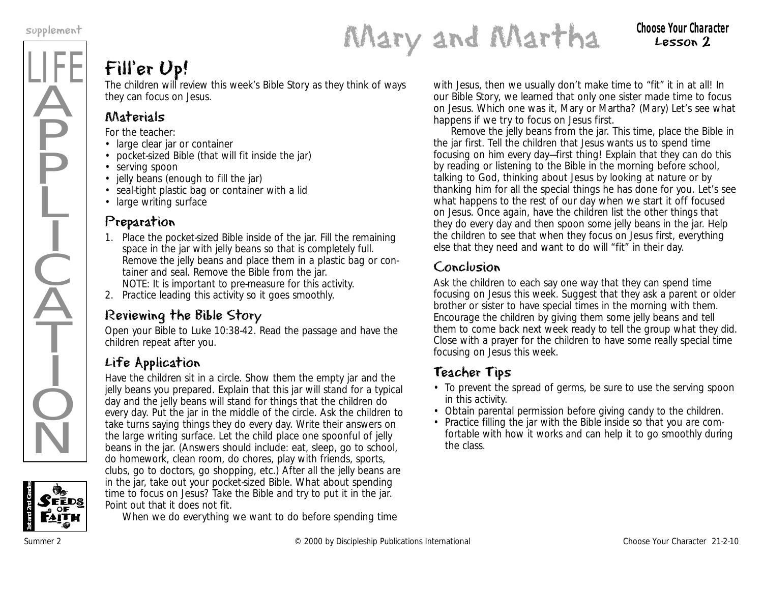LIFE

Ä

**P** 

P

Ļ

I

 $\frac{1}{2}$ 

 $\widecheck{\mathrm{A}}$ 

T

I

 $\dot{Q}$ 

 $\overline{\textsf{N}}$ 

# $\frac{Supplement}{Supplement}$  conserved that  $Mary$  and  $Marrtha$  choose your character

Lesson 2

## Fill'er Up!

The children will review this week's Bible Story as they think of ways they can focus on Jesus.

#### Materials

*For the teacher:*

- large clear jar or container
- pocket-sized Bible (that will fit inside the jar)
- serving spoon
- jelly beans (enough to fill the jar)
- seal-tight plastic bag or container with a lid
- large writing surface

#### Preparation

- 1. Place the pocket-sized Bible inside of the jar. Fill the remaining space in the jar with jelly beans so that is completely full. Remove the jelly beans and place them in a plastic bag or container and seal. Remove the Bible from the jar. NOTE: It is important to pre-measure for this activity.
- 2. Practice leading this activity so it goes smoothly.

#### Reviewing the Bible Story

Open your Bible to Luke 10:38-42. Read the passage and have the children repeat after you.

#### Life Application

Have the children sit in a circle. Show them the empty jar and the jelly beans you prepared. Explain that this jar will stand for a typical day and the jelly beans will stand for things that the children do every day. Put the jar in the middle of the circle. Ask the children to take turns saying things they do every day. Write their answers on the large writing surface. Let the child place one spoonful of jelly beans in the jar. (Answers should include: eat, sleep, go to school, do homework, clean room, do chores, play with friends, sports, clubs, go to doctors, go shopping, etc.) After all the jelly beans are in the jar, take out your pocket-sized Bible. *What about spending time to focus on Jesus?* Take the Bible and try to put it in the jar. Point out that it does not fit.

*with Jesus, then we usually don't make time to "fit" it in at all! In our Bible Story, we learned that only one sister made time to focus on Jesus. Which one was it, Mary or Martha?* (Mary) *Let's see what happens if we try to focus on Jesus first.* 

Remove the jelly beans from the jar. This time, place the Bible in the jar first. Tell the children that Jesus wants us to spend time focusing on him every day—first thing! Explain that they can do this by reading or listening to the Bible in the morning before school, talking to God, thinking about Jesus by looking at nature or by thanking him for all the special things he has done for you. *Let's see what happens to the rest of our day when we start it off focused on Jesus.* Once again, have the children list the other things that they do every day and then spoon some jelly beans in the jar. Help the children to see that when they focus on Jesus first, everything else that they need and want to do will "fit" in their day.

#### Conclusion

Ask the children to each say one way that they can spend time focusing on Jesus this week. Suggest that they ask a parent or older brother or sister to have special times in the morning with them. Encourage the children by giving them some jelly beans and tell them to come back next week ready to tell the group what they did. Close with a prayer for the children to have some really special time focusing on Jesus this week.

#### Teacher Tips

- To prevent the spread of germs, be sure to use the serving spoon in this activity.
- Obtain parental permission before giving candy to the children.
- Practice filling the jar with the Bible inside so that you are comfortable with how it works and can help it to go smoothly during the class.



*When we do everything we want to do before spending time*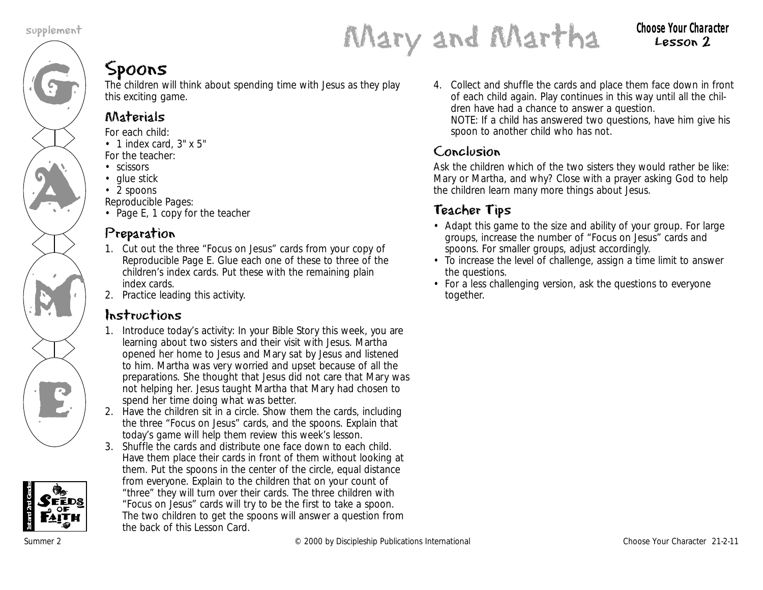G

AN A

M

K<br>E

# supplement Choose Your Character<br> **Complement** Choose Your Character

## Lesson 2

#### Spoons

The children will think about spending time with Jesus as they play this exciting game.

#### Materials

*For each child:*

- 1 index card, 3" x 5"
- *For the teacher:*
- scissors
- glue stick
- 2 spoons
- *Reproducible Pages:*
- Page E, 1 copy for the teacher

#### Preparation

- 1. Cut out the three "Focus on Jesus" cards from your copy of Reproducible Page E. Glue each one of these to three of the children's index cards. Put these with the remaining plain index cards.
- 2. Practice leading this activity.

#### Instructions

- 1. Introduce today's activity: *In your Bible Story this week, you are learning about two sisters and their visit with Jesus. Martha opened her home to Jesus and Mary sat by Jesus and listened to him. Martha was very worried and upset because of all the preparations. She thought that Jesus did not care that Mary was not helping her. Jesus taught Martha that Mary had chosen to spend her time doing what was better.*
- 2. Have the children sit in a circle. Show them the cards, including the three "Focus on Jesus" cards, and the spoons. Explain that today's game will help them review this week's lesson.
- 3. Shuffle the cards and distribute one face down to each child. Have them place their cards in front of them without looking at them. Put the spoons in the center of the circle, equal distance from everyone. Explain to the children that on your count of "three" they will turn over their cards. The three children with "Focus on Jesus" cards will try to be the first to take a spoon. The two children to get the spoons will answer a question from the back of this Lesson Card.

4. Collect and shuffle the cards and place them face down in front of each child again. Play continues in this way until all the children have had a chance to answer a question. NOTE: If a child has answered two questions, have him give his spoon to another child who has not.

#### Conclusion

Ask the children which of the two sisters they would rather be like: Mary or Martha, and why? Close with a prayer asking God to help the children learn many more things about Jesus.

#### Teacher Tips

- Adapt this game to the size and ability of your group. For large groups, increase the number of "Focus on Jesus" cards and spoons. For smaller groups, adjust accordingly.
- To increase the level of challenge, assign a time limit to answer the questions.
- For a less challenging version, ask the questions to everyone together.

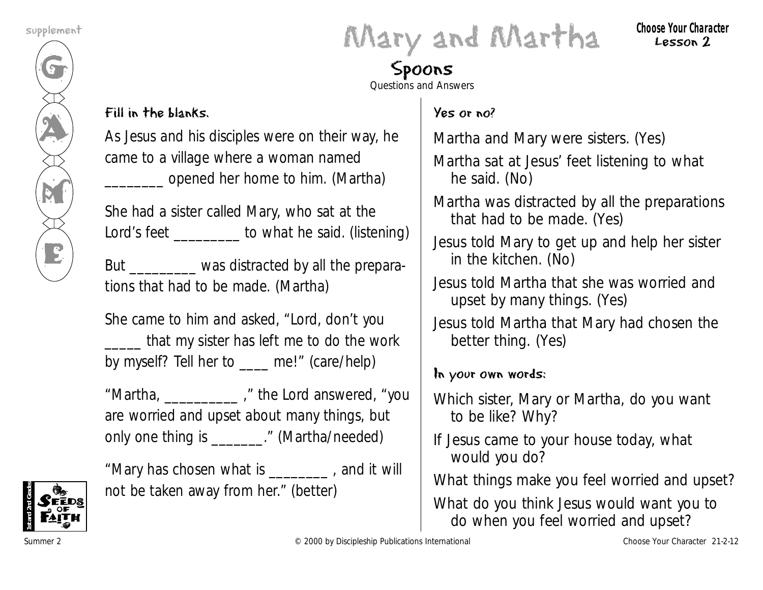G

**AN** 

M

E

# supplement that the conservation of **Mary and Martha** thessen 2

Lesson 2

## Spoons

Questions and Answers

#### Fill in the blanks.

As Jesus and his disciples were on their way, he came to a village where a woman named \_\_\_\_\_\_\_\_ opened her home to him. (Martha)

She had a sister called Mary, who sat at the Lord's feet to what he said. (listening)

But \_\_\_\_\_\_\_\_\_ was distracted by all the preparations that had to be made. (Martha)

She came to him and asked, "Lord, don't you that my sister has left me to do the work by myself? Tell her to \_\_\_\_ me!" (care/help)

"Martha, \_\_\_\_\_\_\_\_\_\_ ," the Lord answered, "you are worried and upset about many things, but only one thing is \_\_\_\_\_\_\_." (Martha/needed)

"Mary has chosen what is \_\_\_\_\_\_\_\_ , and it will not be taken away from her." (better)

#### Yes or no?

Martha and Mary were sisters. (Yes)

- Martha sat at Jesus' feet listening to what he said. (No)
- Martha was distracted by all the preparations that had to be made. (Yes)
- Jesus told Mary to get up and help her sister in the kitchen. (No)
- Jesus told Martha that she was worried and upset by many things. (Yes)
- Jesus told Martha that Mary had chosen the better thing. (Yes)

#### In your own words:

Which sister, Mary or Martha, do you want to be like? Why?

- If Jesus came to your house today, what would you do?
- What things make you feel worried and upset?

What do you think Jesus would want you to do when you feel worried and upset?

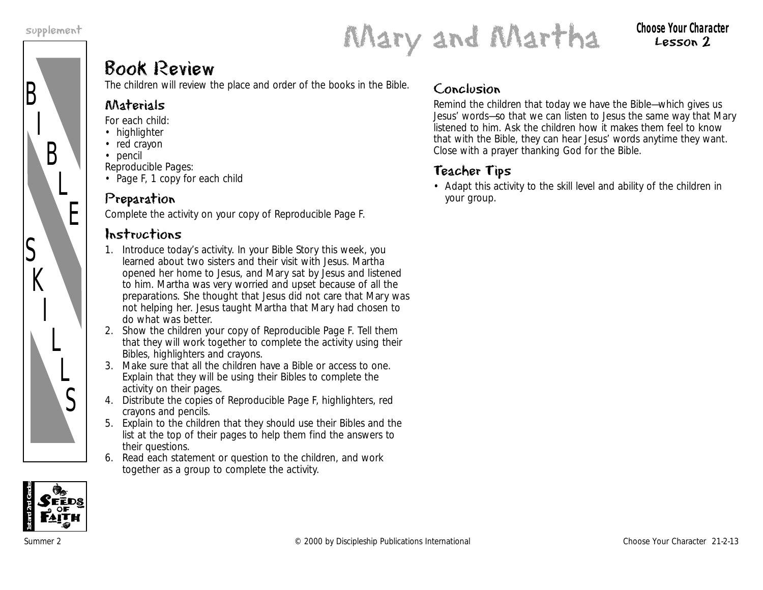

# supplement **Chary and Martha** choose your unaracter

Lesson 2

#### Book Review

The children will review the place and order of the books in the Bible.

#### Materials

*For each child:*

- highlighter
- red crayon
- pencil

*Reproducible Pages:*

• Page F, 1 copy for each child

#### Preparation

Complete the activity on your copy of Reproducible Page F.

#### Instructions

- 1. Introduce today's activity. *In your Bible Story this week, you learned about two sisters and their visit with Jesus. Martha opened her home to Jesus, and Mary sat by Jesus and listened to him. Martha was very worried and upset because of all the preparations. She thought that Jesus did not care that Mary was not helping her. Jesus taught Martha that Mary had chosen to do what was better.*
- 2. Show the children your copy of Reproducible Page F. Tell them that they will work together to complete the activity using their Bibles, highlighters and crayons.
- 3. Make sure that all the children have a Bible or access to one. Explain that they will be using their Bibles to complete the activity on their pages.
- 4. Distribute the copies of Reproducible Page F, highlighters, red crayons and pencils.
- 5. Explain to the children that they should use their Bibles and the list at the top of their pages to help them find the answers to their questions.
- 6. Read each statement or question to the children, and work together as a group to complete the activity.

#### Conclusion

Remind the children that today we have the Bible—which gives us Jesus' words—so that we can listen to Jesus the same way that Mary listened to him. Ask the children how it makes them feel to know that with the Bible, they can hear Jesus' words anytime they want. Close with a prayer thanking God for the Bible.

#### Teacher Tips

• Adapt this activity to the skill level and ability of the children in your group.

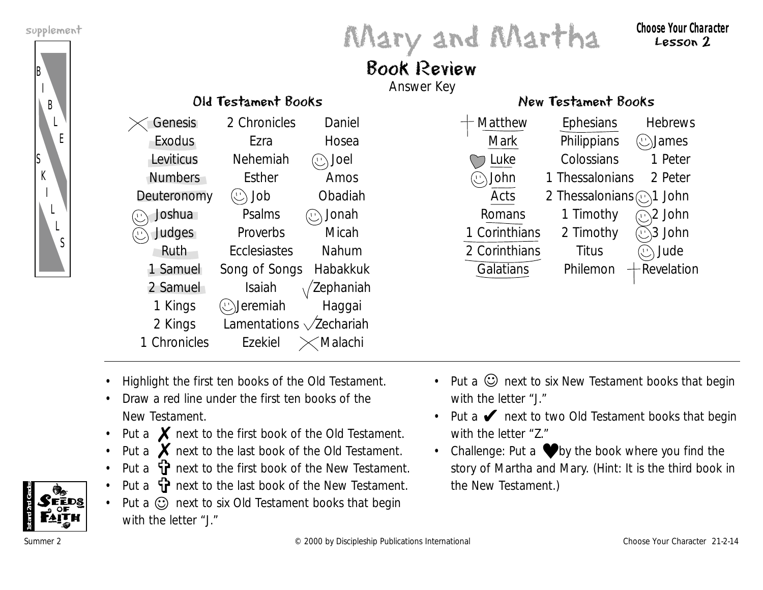

 $(\cup)$ 

| supplement<br>$\sim$ |  |  | Mary and Martha | <b>Choose Your Character</b><br>Lesson 2 |
|----------------------|--|--|-----------------|------------------------------------------|
|----------------------|--|--|-----------------|------------------------------------------|

## Book Review

Answer Key

#### New Testament Books



• Highlight the first ten books of the Old Testament.

1 Chronicles Ezekiel  $\times$  Malachi

Old Testament Books

Genesis 2 Chronicles Daniel Exodus Ezra Hosea

Leviticus Nehemiah  $\odot$  Joel Numbers Esther Amos Deuteronomy  $\left(\cup\right)$  Job Obadiah

Joshua Psalms (Allonah Judges Proverbs Micah Ruth Ecclesiastes Nahum 1 Samuel Song of Songs Habakkuk 2 Samuel Isaiah  $\sqrt{2}$ ephaniah 1 Kings (C)Jeremiah Haggai 2 Kings Lamentations  $\sqrt{2}$ echariah

- Draw a red line under the first ten books of the New Testament.
- Put a  $\chi$  next to the first book of the Old Testament.
- Put a  $\sum_{n=1}^{\infty}$  next to the last book of the Old Testament.
- Put a  $\Phi$  next to the first book of the New Testament.
- Put a  $\mathbf{\hat{p}}$  next to the last book of the New Testament.
- Put a  $\odot$  next to six Old Testament books that begin with the letter "I."
- Put a  $\odot$  next to six New Testament books that begin with the letter "I."
- Put a  $\blacktriangleright$  next to two Old Testament books that begin with the letter "Z."
- Challenge: Put a  $\blacktriangledown$  by the book where you find the story of Martha and Mary. (Hint: It is the third book in the New Testament.)

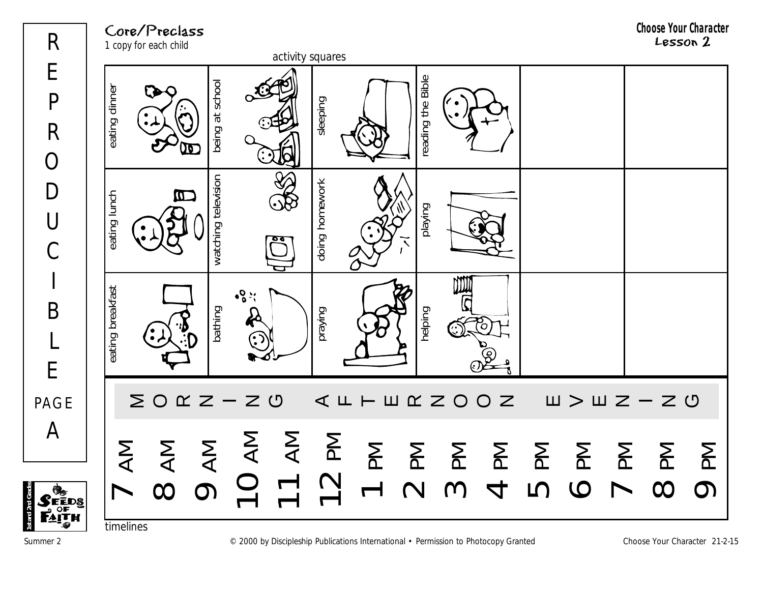

timelines

R

E

P

R

 $\bigcirc$ 

D

U

 $\overline{C}$ 

I

B

L

E

A

**1st and 2nd Grades**

Summer 2 © 2000 by Discipleship Publications International • Permission to Photocopy Granted Choose Your Character 21-2-15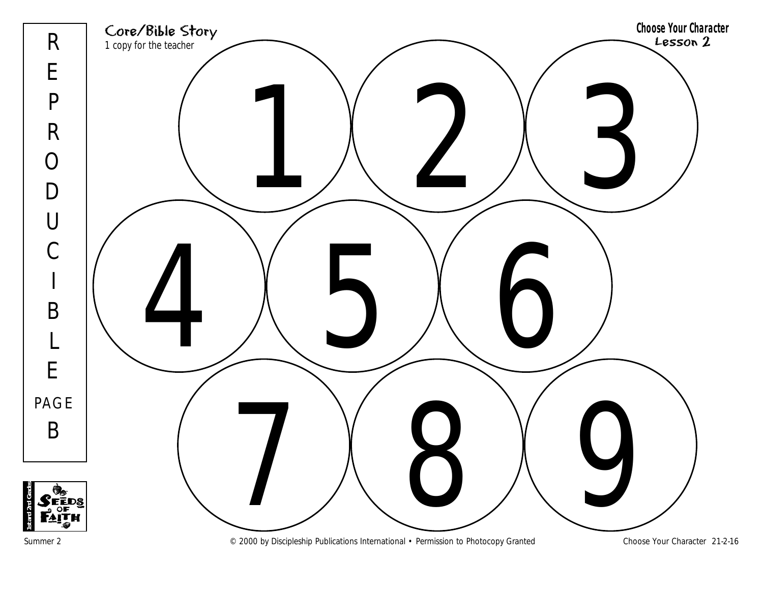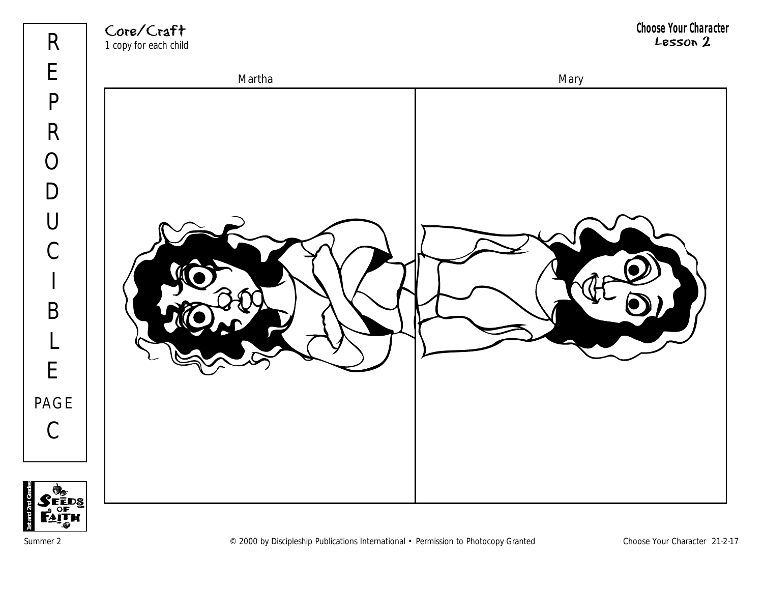| $\mathbf R$                   | Core/Craft<br>1 copy for each child | <b>Choose Your Character</b><br>Lesson 2 |
|-------------------------------|-------------------------------------|------------------------------------------|
| $\mathbf E$                   | Martha                              | Mary                                     |
| $\, {\bf P}$                  |                                     |                                          |
| $\mathbf R$                   |                                     |                                          |
| $\bigcirc$                    |                                     |                                          |
| $\mathbf D$                   |                                     |                                          |
| $\bigcup$                     |                                     |                                          |
| $\mathsf C$                   |                                     |                                          |
| $\rm I$                       |                                     |                                          |
| $\, {\bf B}$                  |                                     |                                          |
| $\mathbf L$                   |                                     |                                          |
| $\mathbf{E}% _{0}$            |                                     |                                          |
| AGE                           |                                     |                                          |
| $\mathcal{C}$                 |                                     |                                          |
|                               |                                     |                                          |
| <b>O<sub>S</sub></b><br>Reeds |                                     |                                          |

**1st and 2nd Grades**

Summer 2 Choose Your Character 21-2-17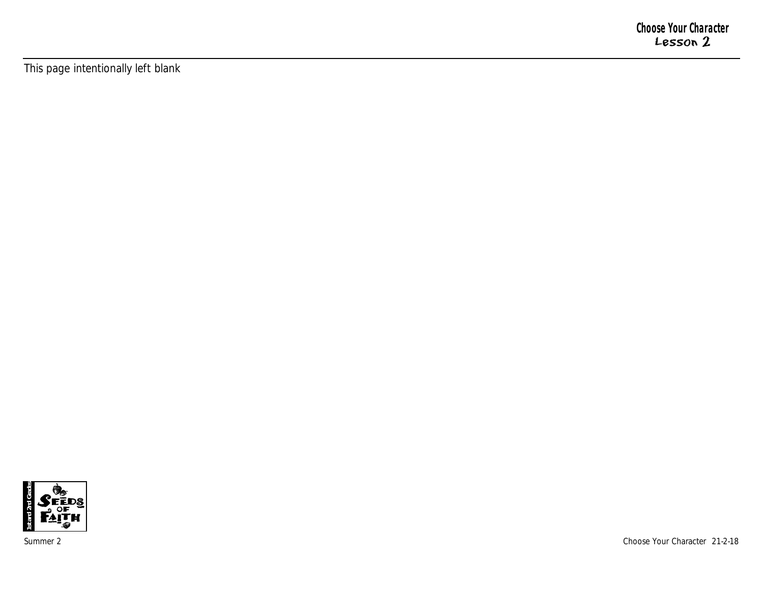This page intentionally left blank

![](_page_17_Picture_2.jpeg)

Summer 2 Choose Your Character 21-2-18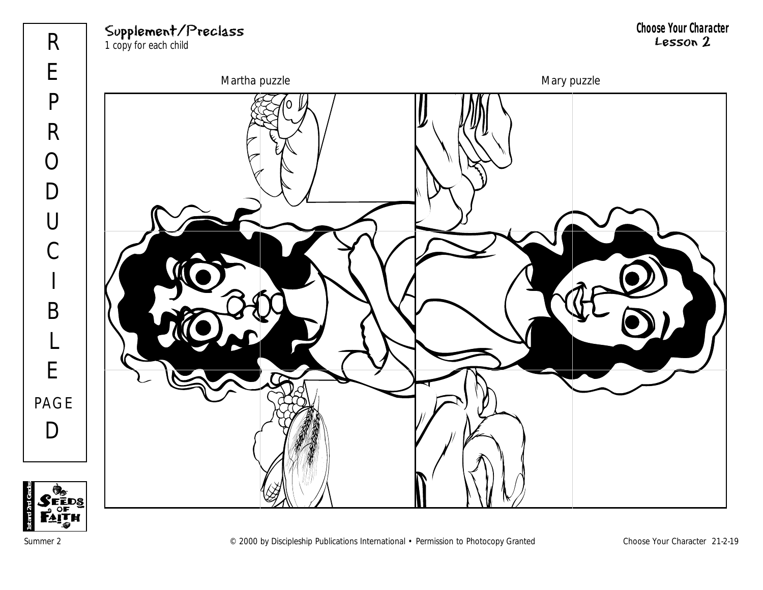![](_page_18_Figure_0.jpeg)

**Choose Your Character** Lesson 2

![](_page_18_Figure_2.jpeg)

![](_page_18_Picture_3.jpeg)

R

E

P

R

 $\bigcirc$ 

D

U

C

I

Martha puzzle **Martha** puzzle Mary puzzle Martha puzzle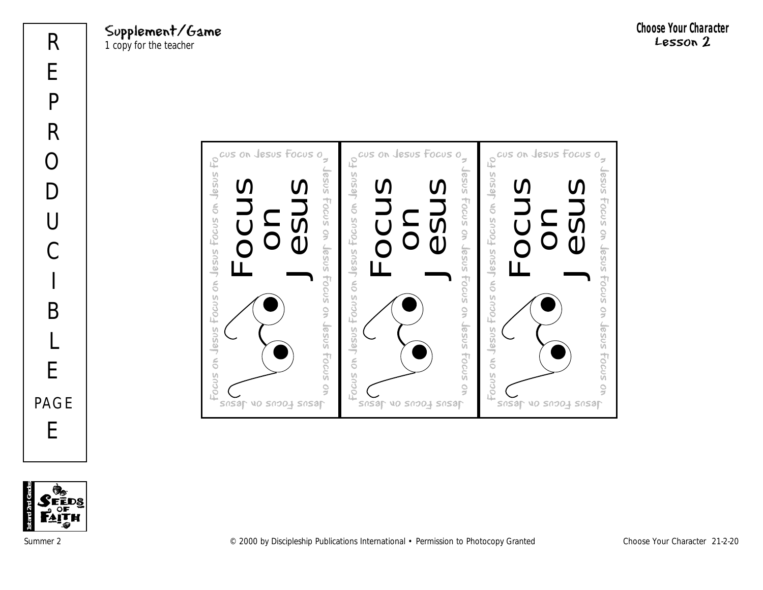![](_page_19_Picture_3.jpeg)

![](_page_19_Picture_4.jpeg)

Summer 2 © 2000 by Discipleship Publications International • Permission to Photocopy Granted Choose Your Character 21-2-20